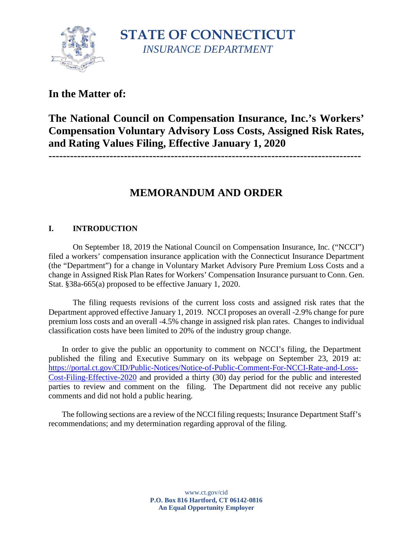

**STATE OF CONNECTICUT** *INSURANCE DEPARTMENT*

## **In the Matter of:**

# **The National Council on Compensation Insurance, Inc.'s Workers' Compensation Voluntary Advisory Loss Costs, Assigned Risk Rates, and Rating Values Filing, Effective January 1, 2020**

**---------------------------------------------------------------------------------------**

# **MEMORANDUM AND ORDER**

## **I. INTRODUCTION**

On September 18, 2019 the National Council on Compensation Insurance, Inc. ("NCCI") filed a workers' compensation insurance application with the Connecticut Insurance Department (the "Department") for a change in Voluntary Market Advisory Pure Premium Loss Costs and a change in Assigned Risk Plan Rates for Workers' Compensation Insurance pursuant to Conn. Gen. Stat. §38a-665(a) proposed to be effective January 1, 2020.

The filing requests revisions of the current loss costs and assigned risk rates that the Department approved effective January 1, 2019. NCCI proposes an overall -2.9% change for pure premium loss costs and an overall -4.5% change in assigned risk plan rates. Changes to individual classification costs have been limited to 20% of the industry group change.

In order to give the public an opportunity to comment on NCCI's filing, the Department published the filing and Executive Summary on its webpage on September 23, 2019 at: [https://portal.ct.gov/CID/Public-Notices/Notice-of-Public-Comment-For-NCCI-Rate-and-Loss-](https://portal.ct.gov/CID/Public-Notices/Notice-of-Public-Comment-For-NCCI-Rate-and-Loss-Cost-Filing-Effective-2020)[Cost-Filing-Effective-2020](https://portal.ct.gov/CID/Public-Notices/Notice-of-Public-Comment-For-NCCI-Rate-and-Loss-Cost-Filing-Effective-2020) and provided a thirty (30) day period for the public and interested parties to review and comment on the filing. The Department did not receive any public comments and did not hold a public hearing.

The following sections are a review of the NCCI filing requests; Insurance Department Staff's recommendations; and my determination regarding approval of the filing.

> www.ct.gov/cid **P.O. Box 816 Hartford, CT 06142-0816 An Equal Opportunity Employer**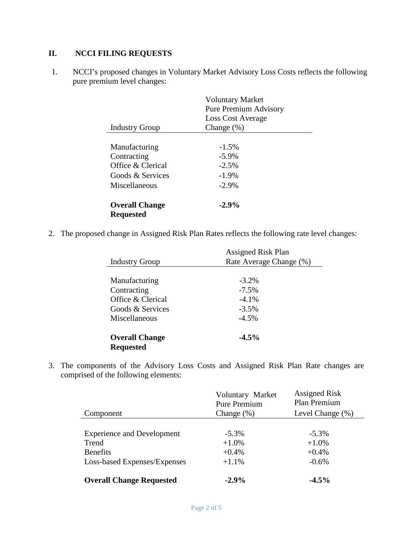## **II. NCCI FILING REQUESTS**

1. NCCI's proposed changes in Voluntary Market Advisory Loss Costs reflects the following pure premium level changes:

|                                           | <b>Voluntary Market</b><br><b>Pure Premium Advisory</b> |  |
|-------------------------------------------|---------------------------------------------------------|--|
| <b>Industry Group</b>                     | <b>Loss Cost Average</b>                                |  |
|                                           | Change $(\%)$                                           |  |
| Manufacturing                             | $-1.5\%$                                                |  |
| Contracting                               | $-5.9\%$                                                |  |
| Office & Clerical                         | $-2.5%$                                                 |  |
| Goods & Services                          | $-1.9\%$                                                |  |
| Miscellaneous                             | $-2.9\%$                                                |  |
| <b>Overall Change</b><br><b>Requested</b> | $-2.9\%$                                                |  |

2. The proposed change in Assigned Risk Plan Rates reflects the following rate level changes:

|                       | <b>Assigned Risk Plan</b><br>Rate Average Change (%) |  |
|-----------------------|------------------------------------------------------|--|
| <b>Industry Group</b> |                                                      |  |
|                       |                                                      |  |
| Manufacturing         | $-3.2\%$                                             |  |
| Contracting           | $-7.5\%$                                             |  |
| Office & Clerical     | $-4.1\%$                                             |  |
| Goods & Services      | $-3.5\%$                                             |  |
| Miscellaneous         | $-4.5\%$                                             |  |
|                       |                                                      |  |
| <b>Overall Change</b> | $-4.5\%$                                             |  |
| <b>Requested</b>      |                                                      |  |

3. The components of the Advisory Loss Costs and Assigned Risk Plan Rate changes are comprised of the following elements:

|                                   | Voluntary Market<br><b>Pure Premium</b> | <b>Assigned Risk</b><br>Plan Premium |
|-----------------------------------|-----------------------------------------|--------------------------------------|
| Component                         | Change $(\%)$                           | Level Change (%)                     |
|                                   |                                         |                                      |
| <b>Experience and Development</b> | $-5.3\%$                                | $-5.3\%$                             |
| Trend                             | $+1.0\%$                                | $+1.0\%$                             |
| <b>Benefits</b>                   | $+0.4%$                                 | $+0.4%$                              |
| Loss-based Expenses/Expenses      | $+1.1\%$                                | $-0.6\%$                             |
| <b>Overall Change Requested</b>   | $-2.9%$                                 | $-4.5%$                              |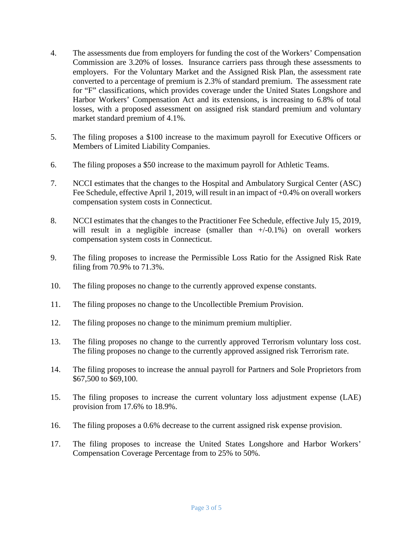- 4. The assessments due from employers for funding the cost of the Workers' Compensation Commission are 3.20% of losses. Insurance carriers pass through these assessments to employers. For the Voluntary Market and the Assigned Risk Plan, the assessment rate converted to a percentage of premium is 2.3% of standard premium. The assessment rate for "F" classifications, which provides coverage under the United States Longshore and Harbor Workers' Compensation Act and its extensions, is increasing to 6.8% of total losses, with a proposed assessment on assigned risk standard premium and voluntary market standard premium of 4.1%.
- 5. The filing proposes a \$100 increase to the maximum payroll for Executive Officers or Members of Limited Liability Companies.
- 6. The filing proposes a \$50 increase to the maximum payroll for Athletic Teams.
- 7. NCCI estimates that the changes to the Hospital and Ambulatory Surgical Center (ASC) Fee Schedule, effective April 1, 2019, will result in an impact of +0.4% on overall workers compensation system costs in Connecticut.
- 8. NCCI estimates that the changes to the Practitioner Fee Schedule, effective July 15, 2019, will result in a negligible increase (smaller than  $+/0.1\%$ ) on overall workers compensation system costs in Connecticut.
- 9. The filing proposes to increase the Permissible Loss Ratio for the Assigned Risk Rate filing from 70.9% to 71.3%.
- 10. The filing proposes no change to the currently approved expense constants.
- 11. The filing proposes no change to the Uncollectible Premium Provision.
- 12. The filing proposes no change to the minimum premium multiplier.
- 13. The filing proposes no change to the currently approved Terrorism voluntary loss cost. The filing proposes no change to the currently approved assigned risk Terrorism rate.
- 14. The filing proposes to increase the annual payroll for Partners and Sole Proprietors from \$67,500 to \$69,100.
- 15. The filing proposes to increase the current voluntary loss adjustment expense (LAE) provision from 17.6% to 18.9%.
- 16. The filing proposes a 0.6% decrease to the current assigned risk expense provision.
- 17. The filing proposes to increase the United States Longshore and Harbor Workers' Compensation Coverage Percentage from to 25% to 50%.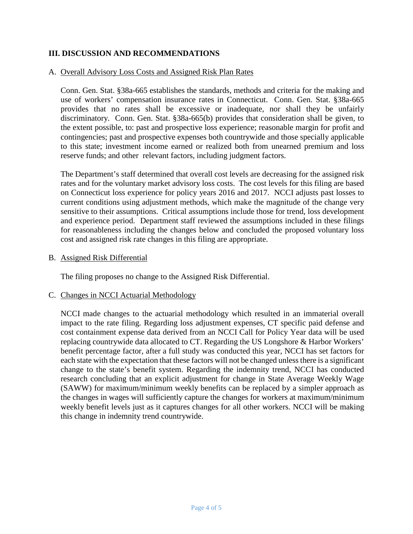### **III. DISCUSSION AND RECOMMENDATIONS**

### A. Overall Advisory Loss Costs and Assigned Risk Plan Rates

Conn. Gen. Stat. §38a-665 establishes the standards, methods and criteria for the making and use of workers' compensation insurance rates in Connecticut. Conn. Gen. Stat. §38a-665 provides that no rates shall be excessive or inadequate, nor shall they be unfairly discriminatory. Conn. Gen. Stat. §38a-665(b) provides that consideration shall be given, to the extent possible, to: past and prospective loss experience; reasonable margin for profit and contingencies; past and prospective expenses both countrywide and those specially applicable to this state; investment income earned or realized both from unearned premium and loss reserve funds; and other relevant factors, including judgment factors.

The Department's staff determined that overall cost levels are decreasing for the assigned risk rates and for the voluntary market advisory loss costs. The cost levels for this filing are based on Connecticut loss experience for policy years 2016 and 2017. NCCI adjusts past losses to current conditions using adjustment methods, which make the magnitude of the change very sensitive to their assumptions. Critical assumptions include those for trend, loss development and experience period. Department staff reviewed the assumptions included in these filings for reasonableness including the changes below and concluded the proposed voluntary loss cost and assigned risk rate changes in this filing are appropriate.

#### B. Assigned Risk Differential

The filing proposes no change to the Assigned Risk Differential.

#### C. Changes in NCCI Actuarial Methodology

NCCI made changes to the actuarial methodology which resulted in an immaterial overall impact to the rate filing. Regarding loss adjustment expenses, CT specific paid defense and cost containment expense data derived from an NCCI Call for Policy Year data will be used replacing countrywide data allocated to CT. Regarding the US Longshore & Harbor Workers' benefit percentage factor, after a full study was conducted this year, NCCI has set factors for each state with the expectation that these factors will not be changed unless there is a significant change to the state's benefit system. Regarding the indemnity trend, NCCI has conducted research concluding that an explicit adjustment for change in State Average Weekly Wage (SAWW) for maximum/minimum weekly benefits can be replaced by a simpler approach as the changes in wages will sufficiently capture the changes for workers at maximum/minimum weekly benefit levels just as it captures changes for all other workers. NCCI will be making this change in indemnity trend countrywide.